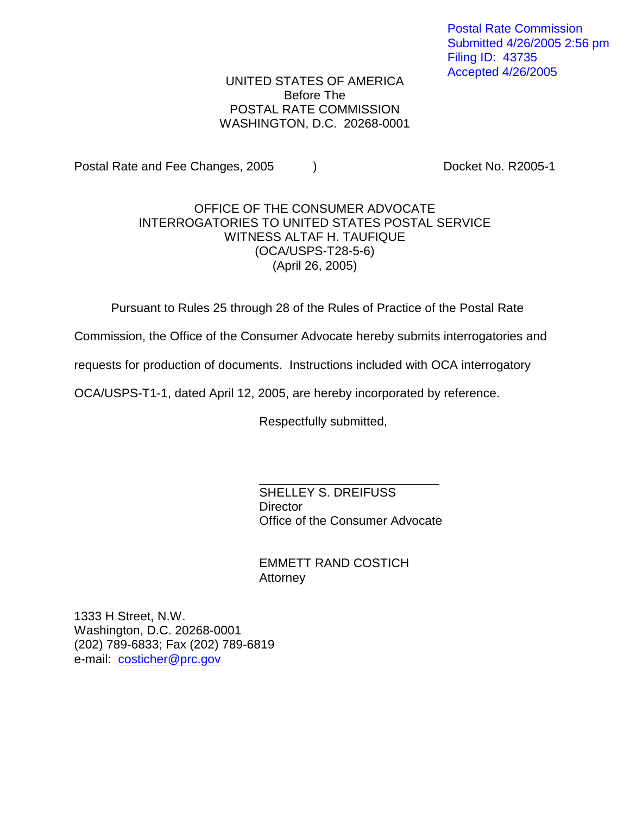Postal Rate Commission Submitted 4/26/2005 2:56 pm Filing ID: 43735 Accepted 4/26/2005

UNITED STATES OF AMERICA Before The POSTAL RATE COMMISSION WASHINGTON, D.C. 20268-0001

Postal Rate and Fee Changes, 2005 (a) The Cooket No. R2005-1

## OFFICE OF THE CONSUMER ADVOCATE INTERROGATORIES TO UNITED STATES POSTAL SERVICE WITNESS ALTAF H. TAUFIQUE (OCA/USPS-T28-5-6) (April 26, 2005)

Pursuant to Rules 25 through 28 of the Rules of Practice of the Postal Rate

Commission, the Office of the Consumer Advocate hereby submits interrogatories and

requests for production of documents. Instructions included with OCA interrogatory

OCA/USPS-T1-1, dated April 12, 2005, are hereby incorporated by reference.

Respectfully submitted,

SHELLEY S. DREIFUSS **Director** Office of the Consumer Advocate

\_\_\_\_\_\_\_\_\_\_\_\_\_\_\_\_\_\_\_\_\_\_\_\_\_\_

EMMETT RAND COSTICH Attorney

1333 H Street, N.W. Washington, D.C. 20268-0001 (202) 789-6833; Fax (202) 789-6819 e-mail: costicher@prc.gov